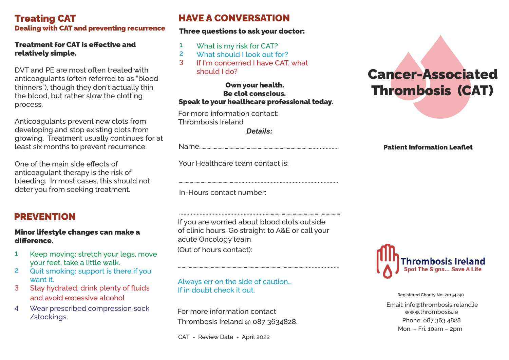## Treating CAT Dealing with CAT and preventing recurrence

## Treatment for CAT is effective and relatively simple.

DVT and PE are most often treated with anticoagulants (often referred to as "blood thinners"), though they don't actually thin the blood, but rather slow the clotting process.

Anticoagulants prevent new clots from developing and stop existing clots from growing. Treatment usually continues for at least six months to prevent recurrence.

One of the main side effects of anticoagulant therapy is the risk of bleeding. In most cases, this should not deter you from seeking treatment.

# PREVENTION

#### Minor lifestyle changes can make a difference.

- Keep moving: stretch your legs, move your feet, take a little walk. 1
- Quit smoking: support is there if you want it. 2
- 3 Stay hydrated: drink plenty of fluids and avoid excessive alcohol
- Wear prescribed compression sock /stockings. 4

# HAVE A CONVERSATION

## Three questions to ask your doctor:

- What is my risk for CAT? 1
- What should I look out for? 2
- If I'm concerned I have CAT, what should I do? 3

#### Own your health. Be clot conscious. Speak to your healthcare professional today.

For more information contact: Thrombosis Ireland

*Details:*

………………………………………….....................................................................

Name…………………………………………………………………………………..................

Your Healthcare team contact is:

In-Hours contact number:

If you are worried about blood clots outside of clinic hours. Go straight to A&E or call your acute Oncology team (Out of hours contact):

…………………………………………………………………………………………….......................

............................................................……………………………………………………

Always err on the side of caution… If in doubt check it out.

For more information contact Thrombosis Ireland @ 087 3634828.

CAT - Review Date - April 2022

# Cancer-Associated Thrombosis (CAT)

#### Patient Information Leaflet



Email: info@thrombosisireland.ie www.thrombosis.ie Phone: 087 363 4828 Mon. – Fri. 10am – 2pm Registered Charity No: 20154240